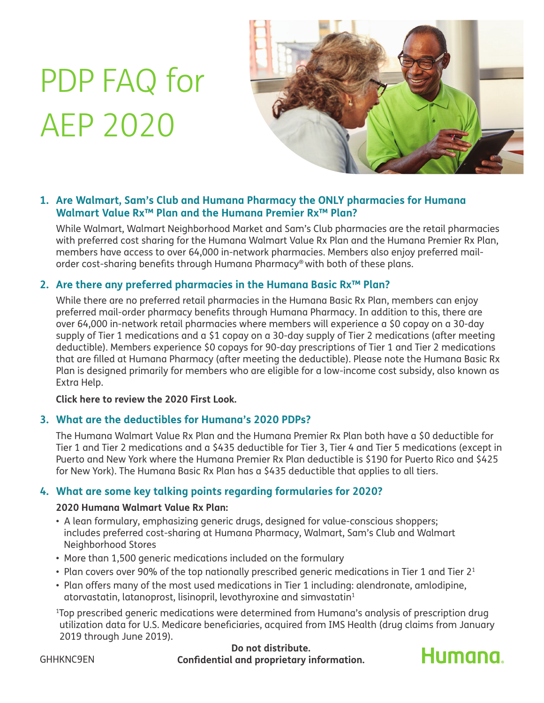# PDP FAQ for AEP 2020



# **1. Are Walmart, Sam's Club and Humana Pharmacy the ONLY pharmacies for Humana Walmart Value Rx™ Plan and the Humana Premier Rx™ Plan?**

While Walmart, Walmart Neighborhood Market and Sam's Club pharmacies are the retail pharmacies with preferred cost sharing for the Humana Walmart Value Rx Plan and the Humana Premier Rx Plan, members have access to over 64,000 in-network pharmacies. Members also enjoy preferred mailorder cost-sharing benefits through Humana Pharmacy® with both of these plans.

# **2. Are there any preferred pharmacies in the Humana Basic Rx™ Plan?**

While there are no preferred retail pharmacies in the Humana Basic Rx Plan, members can enjoy preferred mail-order pharmacy benefits through Humana Pharmacy. In addition to this, there are over 64,000 in-network retail pharmacies where members will experience a \$0 copay on a 30-day supply of Tier 1 medications and a \$1 copay on a 30-day supply of Tier 2 medications (after meeting deductible). Members experience \$0 copays for 90-day prescriptions of Tier 1 and Tier 2 medications that are filled at Humana Pharmacy (after meeting the deductible). Please note the Humana Basic Rx Plan is designed primarily for members who are eligible for a low-income cost subsidy, also known as Extra Help.

#### **[Click here to review the 2020 First Look.](https://firstlook.humana.com/)**

# **3. What are the deductibles for Humana's 2020 PDPs?**

The Humana Walmart Value Rx Plan and the Humana Premier Rx Plan both have a \$0 deductible for Tier 1 and Tier 2 medications and a \$435 deductible for Tier 3, Tier 4 and Tier 5 medications (except in Puerto and New York where the Humana Premier Rx Plan deductible is \$190 for Puerto Rico and \$425 for New York). The Humana Basic Rx Plan has a \$435 deductible that applies to all tiers.

#### **4. What are some key talking points regarding formularies for 2020?**

#### **2020 Humana Walmart Value Rx Plan:**

- A lean formulary, emphasizing generic drugs, designed for value-conscious shoppers; includes preferred cost-sharing at Humana Pharmacy, Walmart, Sam's Club and Walmart Neighborhood Stores
- More than 1,500 generic medications included on the formulary
- Plan covers over 90% of the top nationally prescribed generic medications in Tier 1 and Tier  $2<sup>1</sup>$
- Plan offers many of the most used medications in Tier 1 including: alendronate, amlodipine, atorvastatin, latanoprost, lisinopril, levothyroxine and simvastatin1

1 Top prescribed generic medications were determined from Humana's analysis of prescription drug utilization data for U.S. Medicare beneficiaries, acquired from IMS Health (drug claims from January 2019 through June 2019).

**Do not distribute.** GHHKNC9EN **Confidential and proprietary information.**

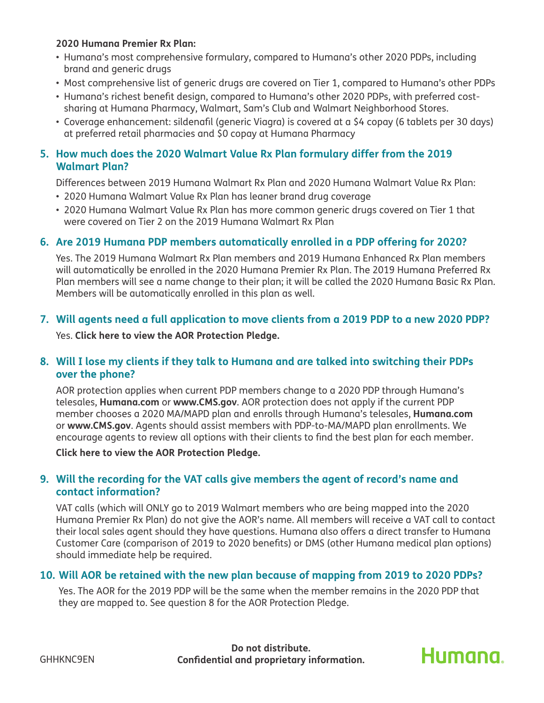#### **2020 Humana Premier Rx Plan:**

- Humana's most comprehensive formulary, compared to Humana's other 2020 PDPs, including brand and generic drugs
- Most comprehensive list of generic drugs are covered on Tier 1, compared to Humana's other PDPs
- Humana's richest benefit design, compared to Humana's other 2020 PDPs, with preferred costsharing at Humana Pharmacy, Walmart, Sam's Club and Walmart Neighborhood Stores.
- Coverage enhancement: sildenafil (generic Viagra) is covered at a \$4 copay (6 tablets per 30 days) at preferred retail pharmacies and \$0 copay at Humana Pharmacy

#### **5. How much does the 2020 Walmart Value Rx Plan formulary differ from the 2019 Walmart Plan?**

Differences between 2019 Humana Walmart Rx Plan and 2020 Humana Walmart Value Rx Plan:

- 2020 Humana Walmart Value Rx Plan has leaner brand drug coverage
- 2020 Humana Walmart Value Rx Plan has more common generic drugs covered on Tier 1 that were covered on Tier 2 on the 2019 Humana Walmart Rx Plan

#### **6. Are 2019 Humana PDP members automatically enrolled in a PDP offering for 2020?**

Yes. The 2019 Humana Walmart Rx Plan members and 2019 Humana Enhanced Rx Plan members will automatically be enrolled in the 2020 Humana Premier Rx Plan. The 2019 Humana Preferred Rx Plan members will see a name change to their plan; it will be called the 2020 Humana Basic Rx Plan. Members will be automatically enrolled in this plan as well.

# **7. Will agents need a full application to move clients from a 2019 PDP to a new 2020 PDP?**

Yes. **[Click here to view the AOR Protection Pledge.](http://apps.humana.com/marketing/documents.asp?file=3771157)**

#### **8. Will I lose my clients if they talk to Humana and are talked into switching their PDPs over the phone?**

AOR protection applies when current PDP members change to a 2020 PDP through Humana's telesales, **[Humana.com](http://Humana.com)** or **[www.CMS.gov](http://www.CMS.gov)**. AOR protection does not apply if the current PDP member chooses a 2020 MA/MAPD plan and enrolls through Humana's telesales, **[Humana.com](http://Humana.com)** or **[www.CMS.gov](http://www.CMS.gov)**. Agents should assist members with PDP-to-MA/MAPD plan enrollments. We encourage agents to review all options with their clients to find the best plan for each member.

**[Click here to view the AOR Protection Pledge.](http://apps.humana.com/marketing/documents.asp?file=3771157)**

# **9. Will the recording for the VAT calls give members the agent of record's name and contact information?**

VAT calls (which will ONLY go to 2019 Walmart members who are being mapped into the 2020 Humana Premier Rx Plan) do not give the AOR's name. All members will receive a VAT call to contact their local sales agent should they have questions. Humana also offers a direct transfer to Humana Customer Care (comparison of 2019 to 2020 benefits) or DMS (other Humana medical plan options) should immediate help be required.

#### **10. Will AOR be retained with the new plan because of mapping from 2019 to 2020 PDPs?**

Yes. The AOR for the 2019 PDP will be the same when the member remains in the 2020 PDP that they are mapped to. See question 8 for the AOR Protection Pledge.

**Do not distribute.** GHHKNC9EN **Confidential and proprietary information.**

Humana.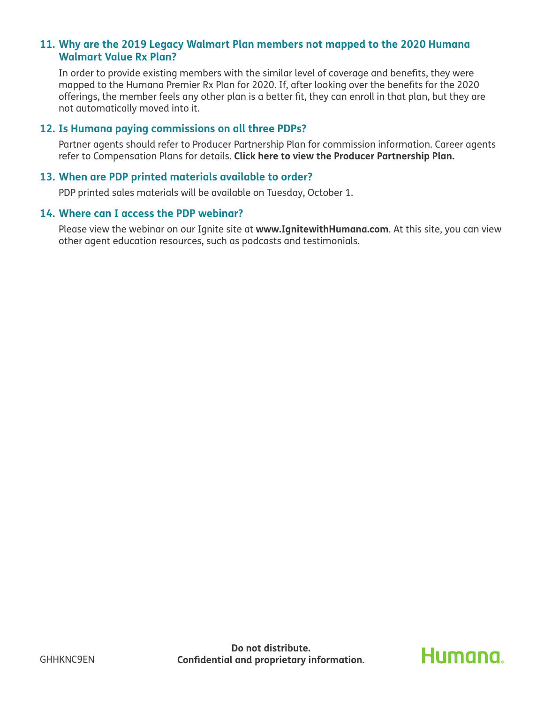#### **11. Why are the 2019 Legacy Walmart Plan members not mapped to the 2020 Humana Walmart Value Rx Plan?**

In order to provide existing members with the similar level of coverage and benefits, they were mapped to the Humana Premier Rx Plan for 2020. If, after looking over the benefits for the 2020 offerings, the member feels any other plan is a better fit, they can enroll in that plan, but they are not automatically moved into it.

#### **12. Is Humana paying commissions on all three PDPs?**

Partner agents should refer to Producer Partnership Plan for commission information. Career agents refer to Compensation Plans for details. **[Click here to view the Producer Partnership Plan.](http://apps.humana.com/marketing/documents.asp?file=2134184 )** 

#### **13. When are PDP printed materials available to order?**

PDP printed sales materials will be available on Tuesday, October 1.

#### **14. Where can I access the PDP webinar?**

Please view the webinar on our Ignite site at **[www.IgnitewithHumana.com](http://www.IgnitewithHumana.com)**. At this site, you can view other agent education resources, such as podcasts and testimonials.

# **Humana**